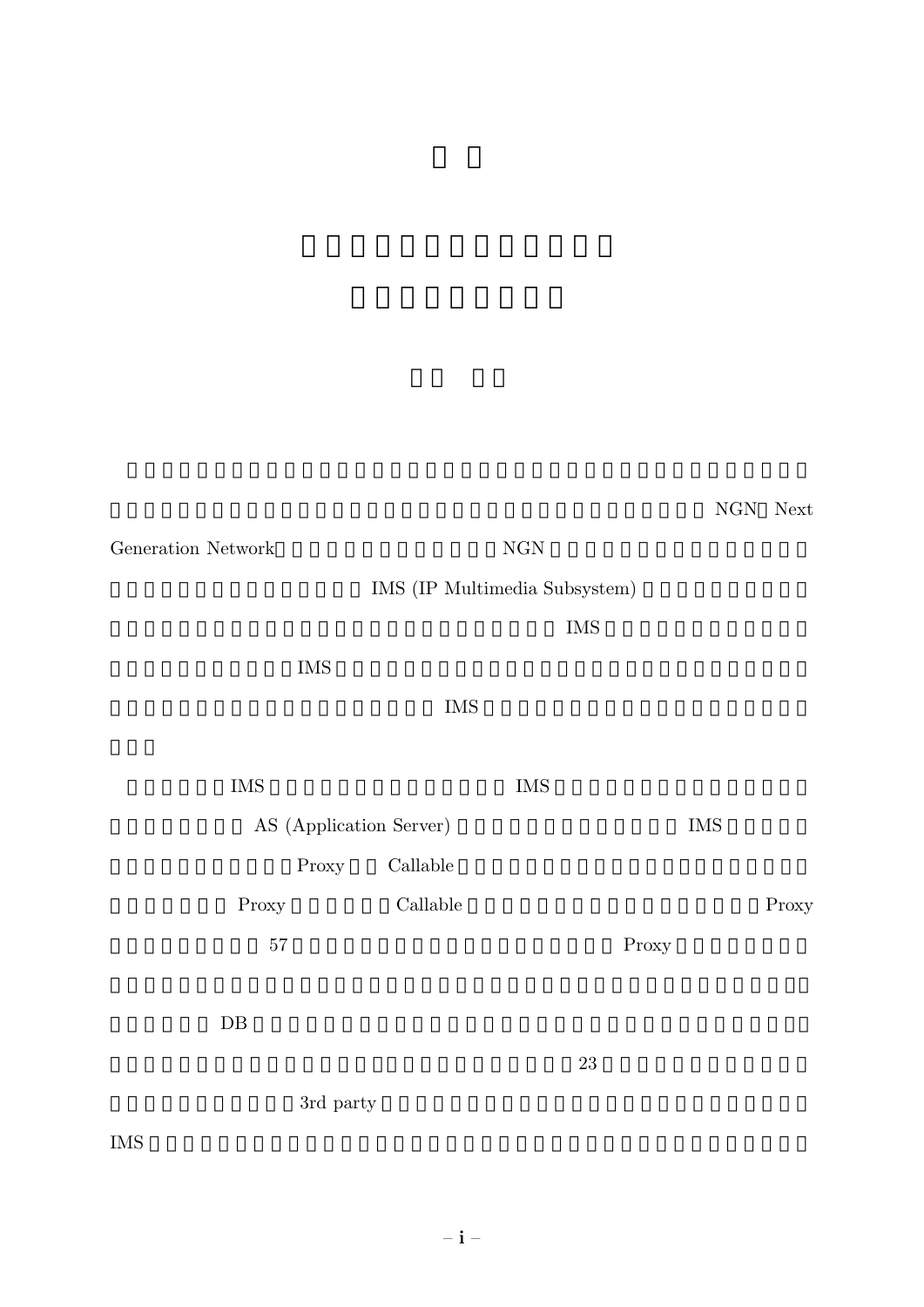NGN Next

 $\begin{array}{ll} \mbox{Generation Network} \end{array} \qquad \qquad \mbox{NGN}$ 

 $\,$  IMS (IP Multimedia Subsystem)  $\,$ 

 $\text{IMS}$ 

 $\rm{IMS}$ 

## $\overline{\text{IMS}}$

| <b>IMS</b>              |       |          | <b>IMS</b> |       |            |       |
|-------------------------|-------|----------|------------|-------|------------|-------|
| AS (Application Server) |       |          |            |       | <b>IMS</b> |       |
|                         | Proxy | Callable |            |       |            |       |
| Proxy                   |       | Callable |            |       |            | Proxy |
|                         | 57    |          |            | Proxy |            |       |
|                         |       |          |            |       |            |       |

 $DB$ 

 $23$ 

 $3rd$  party

IMS  $\sim$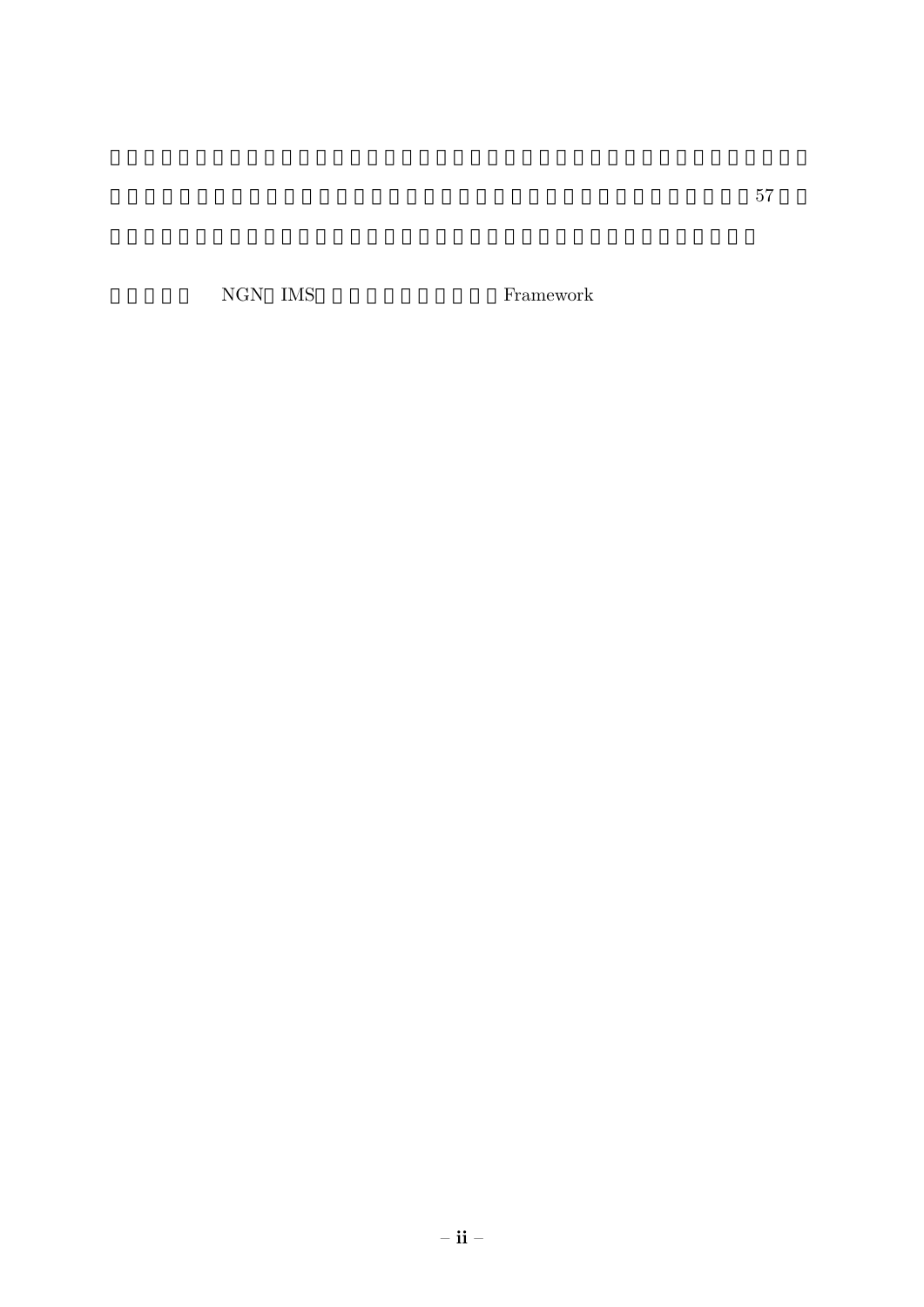${\rm NGN}\quad{\rm IMS}\qquad\qquad {\rm Framework}$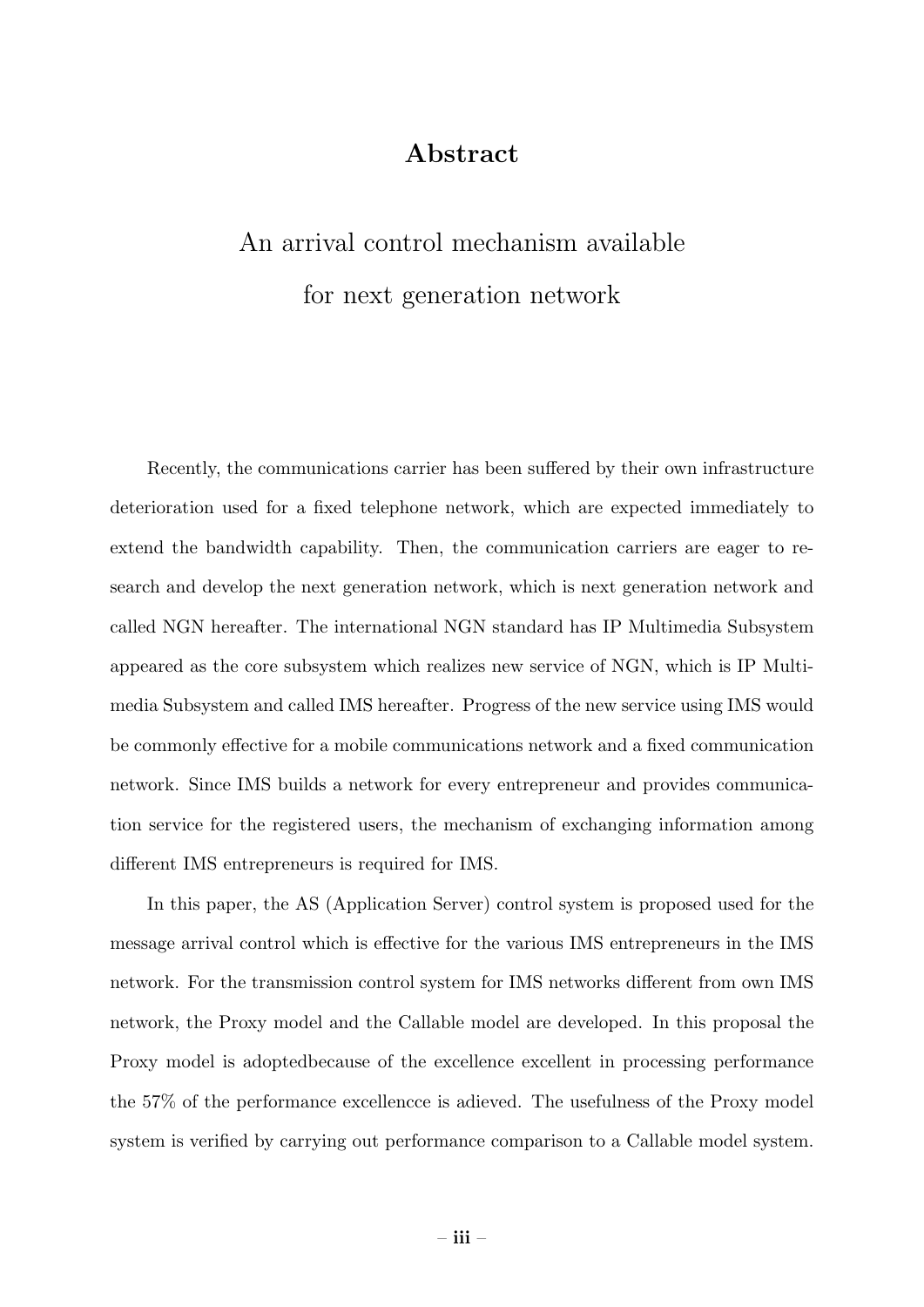## Abstract

## An arrival control mechanism available for next generation network

Recently, the communications carrier has been suffered by their own infrastructure deterioration used for a fixed telephone network, which are expected immediately to extend the bandwidth capability. Then, the communication carriers are eager to research and develop the next generation network, which is next generation network and called NGN hereafter. The international NGN standard has IP Multimedia Subsystem appeared as the core subsystem which realizes new service of NGN, which is IP Multimedia Subsystem and called IMS hereafter. Progress of the new service using IMS would be commonly effective for a mobile communications network and a fixed communication network. Since IMS builds a network for every entrepreneur and provides communication service for the registered users, the mechanism of exchanging information among different IMS entrepreneurs is required for IMS.

In this paper, the AS (Application Server) control system is proposed used for the message arrival control which is effective for the various IMS entrepreneurs in the IMS network. For the transmission control system for IMS networks different from own IMS network, the Proxy model and the Callable model are developed. In this proposal the Proxy model is adoptedbecause of the excellence excellent in processing performance the 57% of the performance excellencce is adieved. The usefulness of the Proxy model system is verified by carrying out performance comparison to a Callable model system.